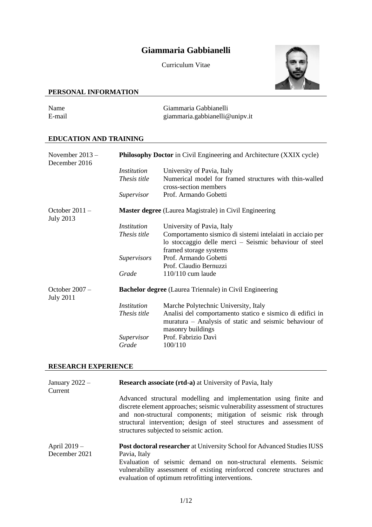# **Giammaria Gabbianelli**

Curriculum Vitae



# **PERSONAL INFORMATION**

| Name   | Giammaria Gabbianelli          |
|--------|--------------------------------|
| E-mail | giammaria.gabbianelli@unipv.it |

# **EDUCATION AND TRAINING**

| November $2013 -$<br>December 2016   |                    | <b>Philosophy Doctor</b> in Civil Engineering and Architecture (XXIX cycle)                                                              |
|--------------------------------------|--------------------|------------------------------------------------------------------------------------------------------------------------------------------|
|                                      | <i>Institution</i> | University of Pavia, Italy                                                                                                               |
|                                      | Thesis title       | Numerical model for framed structures with thin-walled<br>cross-section members                                                          |
|                                      | Supervisor         | Prof. Armando Gobetti                                                                                                                    |
| October $2011 -$<br><b>July 2013</b> |                    | <b>Master degree</b> (Laurea Magistrale) in Civil Engineering                                                                            |
|                                      | <i>Institution</i> | University of Pavia, Italy                                                                                                               |
|                                      | Thesis title       | Comportamento sismico di sistemi intelaiati in acciaio per<br>lo stoccaggio delle merci – Seismic behaviour of steel                     |
|                                      | <b>Supervisors</b> | framed storage systems<br>Prof. Armando Gobetti                                                                                          |
|                                      |                    | Prof. Claudio Bernuzzi                                                                                                                   |
|                                      | Grade              | 110/110 cum laude                                                                                                                        |
|                                      |                    |                                                                                                                                          |
| October $2007 -$<br><b>July 2011</b> |                    | <b>Bachelor degree</b> (Laurea Triennale) in Civil Engineering                                                                           |
|                                      | <i>Institution</i> | Marche Polytechnic University, Italy                                                                                                     |
|                                      | Thesis title       | Analisi del comportamento statico e sismico di edifici in<br>muratura – Analysis of static and seismic behaviour of<br>masonry buildings |
|                                      | Supervisor         | Prof. Fabrizio Davì                                                                                                                      |
|                                      | Grade              | 100/110                                                                                                                                  |

# **RESEARCH EXPERIENCE**

| January $2022 -$<br>Current | <b>Research associate (rtd-a)</b> at University of Pavia, Italy                                                                                                                                                                                                                                                                           |
|-----------------------------|-------------------------------------------------------------------------------------------------------------------------------------------------------------------------------------------------------------------------------------------------------------------------------------------------------------------------------------------|
|                             | Advanced structural modelling and implementation using finite and<br>discrete element approaches; seismic vulnerability assessment of structures<br>and non-structural components; mitigation of seismic risk through<br>structural intervention; design of steel structures and assessment of<br>structures subjected to seismic action. |
| April 2019 –                | <b>Post doctoral researcher</b> at University School for Advanced Studies IUSS                                                                                                                                                                                                                                                            |
| December 2021               | Pavia, Italy                                                                                                                                                                                                                                                                                                                              |
|                             | Evaluation of seismic demand on non-structural elements. Seismic<br>vulnerability assessment of existing reinforced concrete structures and<br>evaluation of optimum retrofitting interventions.                                                                                                                                          |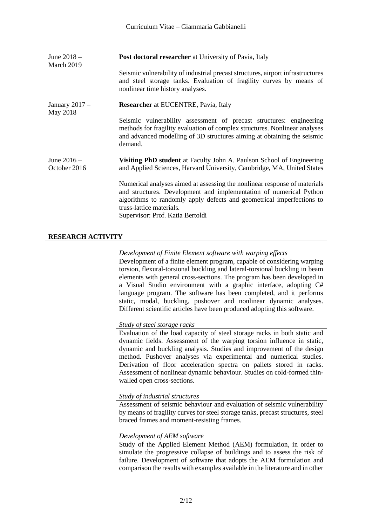| June $2018 -$<br>March 2019   | <b>Post doctoral researcher</b> at University of Pavia, Italy<br>Seismic vulnerability of industrial precast structures, airport infrastructures<br>and steel storage tanks. Evaluation of fragility curves by means of                                                                  |
|-------------------------------|------------------------------------------------------------------------------------------------------------------------------------------------------------------------------------------------------------------------------------------------------------------------------------------|
|                               | nonlinear time history analyses.                                                                                                                                                                                                                                                         |
| January $2017 -$<br>May 2018  | <b>Researcher</b> at EUCENTRE, Pavia, Italy                                                                                                                                                                                                                                              |
|                               | Seismic vulnerability assessment of precast structures: engineering<br>methods for fragility evaluation of complex structures. Nonlinear analyses<br>and advanced modelling of 3D structures aiming at obtaining the seismic<br>demand.                                                  |
| June $2016 -$<br>October 2016 | Visiting PhD student at Faculty John A. Paulson School of Engineering<br>and Applied Sciences, Harvard University, Cambridge, MA, United States                                                                                                                                          |
|                               | Numerical analyses aimed at assessing the nonlinear response of materials<br>and structures. Development and implementation of numerical Python<br>algorithms to randomly apply defects and geometrical imperfections to<br>truss-lattice materials.<br>Supervisor: Prof. Katia Bertoldi |

# **RESEARCH ACTIVITY**

#### *Development of Finite Element software with warping effects*

Development of a finite element program, capable of considering warping torsion, flexural-torsional buckling and lateral-torsional buckling in beam elements with general cross-sections. The program has been developed in a Visual Studio environment with a graphic interface, adopting C# language program. The software has been completed, and it performs static, modal, buckling, pushover and nonlinear dynamic analyses. Different scientific articles have been produced adopting this software.

#### *Study of steel storage racks*

Evaluation of the load capacity of steel storage racks in both static and dynamic fields. Assessment of the warping torsion influence in static, dynamic and buckling analysis. Studies and improvement of the design method. Pushover analyses via experimental and numerical studies. Derivation of floor acceleration spectra on pallets stored in racks. Assessment of nonlinear dynamic behaviour. Studies on cold-formed thinwalled open cross-sections.

#### *Study of industrial structures*

Assessment of seismic behaviour and evaluation of seismic vulnerability by means of fragility curves for steel storage tanks, precast structures, steel braced frames and moment-resisting frames.

#### *Development of AEM software*

Study of the Applied Element Method (AEM) formulation, in order to simulate the progressive collapse of buildings and to assess the risk of failure. Development of software that adopts the AEM formulation and comparison the results with examples available in the literature and in other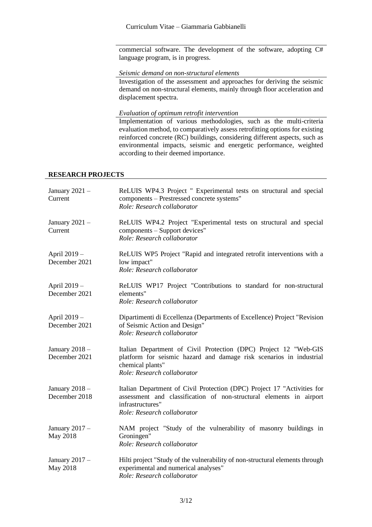commercial software. The development of the software, adopting C# language program, is in progress.

#### *Seismic demand on non-structural elements*

Investigation of the assessment and approaches for deriving the seismic demand on non-structural elements, mainly through floor acceleration and displacement spectra.

*Evaluation of optimum retrofit intervention*

Implementation of various methodologies, such as the multi-criteria evaluation method, to comparatively assess retrofitting options for existing reinforced concrete (RC) buildings, considering different aspects, such as environmental impacts, seismic and energetic performance, weighted according to their deemed importance.

### **RESEARCH PROJECTS**

| January $2021 -$<br>Current       | ReLUIS WP4.3 Project " Experimental tests on structural and special<br>components - Prestressed concrete systems"<br>Role: Research collaborator                                                  |
|-----------------------------------|---------------------------------------------------------------------------------------------------------------------------------------------------------------------------------------------------|
| January $2021 -$<br>Current       | ReLUIS WP4.2 Project "Experimental tests on structural and special<br>components – Support devices"<br>Role: Research collaborator                                                                |
| April 2019 -<br>December 2021     | ReLUIS WP5 Project "Rapid and integrated retrofit interventions with a<br>low impact"<br>Role: Research collaborator                                                                              |
| April 2019 -<br>December 2021     | ReLUIS WP17 Project "Contributions to standard for non-structural<br>elements"<br>Role: Research collaborator                                                                                     |
| April 2019 -<br>December 2021     | Dipartimenti di Eccellenza (Departments of Excellence) Project "Revision<br>of Seismic Action and Design"<br>Role: Research collaborator                                                          |
| January $2018 -$<br>December 2021 | Italian Department of Civil Protection (DPC) Project 12 "Web-GIS<br>platform for seismic hazard and damage risk scenarios in industrial<br>chemical plants"<br>Role: Research collaborator        |
| January $2018-$<br>December 2018  | Italian Department of Civil Protection (DPC) Project 17 "Activities for<br>assessment and classification of non-structural elements in airport<br>infrastructures"<br>Role: Research collaborator |
| January $2017 -$<br>May 2018      | NAM project "Study of the vulnerability of masonry buildings in<br>Groningen"<br>Role: Research collaborator                                                                                      |
| January $2017 -$<br>May 2018      | Hilti project "Study of the vulnerability of non-structural elements through<br>experimental and numerical analyses"<br>Role: Research collaborator                                               |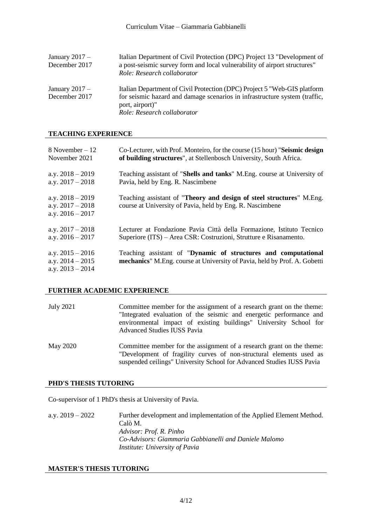| January $2017 -$<br>December 2017 | Italian Department of Civil Protection (DPC) Project 13 "Development of<br>a post-seismic survey form and local vulnerability of airport structures"<br>Role: Research collaborator                      |
|-----------------------------------|----------------------------------------------------------------------------------------------------------------------------------------------------------------------------------------------------------|
| January $2017 -$<br>December 2017 | Italian Department of Civil Protection (DPC) Project 5 "Web-GIS platform<br>for seismic hazard and damage scenarios in infrastructure system (traffic,<br>port, airport)"<br>Role: Research collaborator |

#### **TEACHING EXPERIENCE**

| 8 November $-12$                                               | Co-Lecturer, with Prof. Monteiro, for the course (15 hour) "Seismic design                                                                  |
|----------------------------------------------------------------|---------------------------------------------------------------------------------------------------------------------------------------------|
| November 2021                                                  | of building structures", at Stellenbosch University, South Africa.                                                                          |
| a.y. $2018 - 2019$                                             | Teaching assistant of " <b>Shells and tanks</b> " M.Eng. course at University of                                                            |
| a.y. $2017 - 2018$                                             | Pavia, held by Eng. R. Nascimbene                                                                                                           |
| a.y. $2018 - 2019$<br>a.y. $2017 - 2018$<br>a.y. $2016 - 2017$ | Teaching assistant of "Theory and design of steel structures" M.Eng.<br>course at University of Pavia, held by Eng. R. Nascimbene           |
| a.y. $2017 - 2018$                                             | Lecturer at Fondazione Pavia Città della Formazione, Istituto Tecnico                                                                       |
| a.y. $2016 - 2017$                                             | Superiore (ITS) – Area CSR: Costruzioni, Strutture e Risanamento.                                                                           |
| a.y. $2015 - 2016$<br>a.y. $2014 - 2015$<br>a.v. $2013 - 2014$ | Teaching assistant of "Dynamic of structures and computational<br>mechanics" M.Eng. course at University of Pavia, held by Prof. A. Gobetti |

#### **FURTHER ACADEMIC EXPERIENCE**

| July 2021 | Committee member for the assignment of a research grant on the theme:<br>"Integrated evaluation of the seismic and energetic performance and<br>environmental impact of existing buildings" University School for<br><b>Advanced Studies IUSS Pavia</b> |
|-----------|---------------------------------------------------------------------------------------------------------------------------------------------------------------------------------------------------------------------------------------------------------|
| May 2020  | Committee member for the assignment of a research grant on the theme:<br>"Development of fragility curves of non-structural elements used as<br>suspended ceilings" University School for Advanced Studies IUSS Pavia                                   |

# **PHD'S THESIS TUTORING**

Co-supervisor of 1 PhD's thesis at University of Pavia.

a.y. 2019 – 2022 Further development and implementation of the Applied Element Method. Calò M. *Advisor: Prof. R. Pinho Co-Advisors: Giammaria Gabbianelli and Daniele Malomo Institute: University of Pavia*

#### **MASTER'S THESIS TUTORING**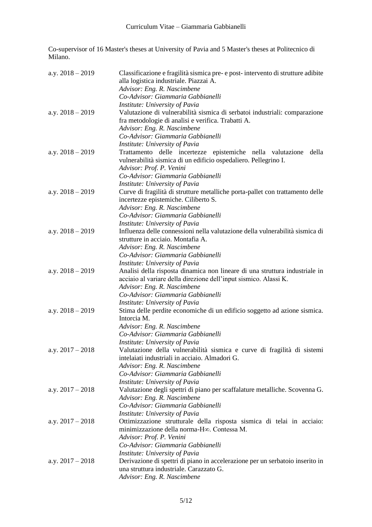Co-supervisor of 16 Master's theses at University of Pavia and 5 Master's theses at Politecnico di Milano.

| a.y. $2018 - 2019$ | Classificazione e fragilità sismica pre- e post-intervento di strutture adibite<br>alla logistica industriale. Piazzai A.<br>Advisor: Eng. R. Nascimbene<br>Co-Advisor: Giammaria Gabbianelli                                                         |
|--------------------|-------------------------------------------------------------------------------------------------------------------------------------------------------------------------------------------------------------------------------------------------------|
| a.y. $2018 - 2019$ | Institute: University of Pavia<br>Valutazione di vulnerabilità sismica di serbatoi industriali: comparazione<br>fra metodologie di analisi e verifica. Trabatti A.<br>Advisor: Eng. R. Nascimbene                                                     |
| a.y. $2018 - 2019$ | Co-Advisor: Giammaria Gabbianelli<br>Institute: University of Pavia<br>Trattamento delle incertezze epistemiche nella valutazione<br>della                                                                                                            |
|                    | vulnerabilità sismica di un edificio ospedaliero. Pellegrino I.<br>Advisor: Prof. P. Venini<br>Co-Advisor: Giammaria Gabbianelli                                                                                                                      |
| a.y. $2018 - 2019$ | Institute: University of Pavia<br>Curve di fragilità di strutture metalliche porta-pallet con trattamento delle<br>incertezze epistemiche. Ciliberto S.<br>Advisor: Eng. R. Nascimbene                                                                |
| a.y. $2018 - 2019$ | Co-Advisor: Giammaria Gabbianelli<br>Institute: University of Pavia<br>Influenza delle connessioni nella valutazione della vulnerabilità sismica di                                                                                                   |
|                    | strutture in acciaio. Montafia A.<br>Advisor: Eng. R. Nascimbene<br>Co-Advisor: Giammaria Gabbianelli                                                                                                                                                 |
| a.y. $2018 - 2019$ | Institute: University of Pavia<br>Analisi della risposta dinamica non lineare di una struttura industriale in<br>acciaio al variare della direzione dell'input sismico. Alassi K.<br>Advisor: Eng. R. Nascimbene<br>Co-Advisor: Giammaria Gabbianelli |
| a.y. $2018 - 2019$ | <i>Institute: University of Pavia</i><br>Stima delle perdite economiche di un edificio soggetto ad azione sismica.<br>Intorcia M.<br>Advisor: Eng. R. Nascimbene<br>Co-Advisor: Giammaria Gabbianelli                                                 |
| a.y. $2017 - 2018$ | Institute: University of Pavia<br>Valutazione della vulnerabilità sismica e curve di fragilità di sistemi<br>intelaiati industriali in acciaio. Almadori G.<br>Advisor: Eng. R. Nascimbene<br>Co-Advisor: Giammaria Gabbianelli                       |
| a.y. $2017 - 2018$ | Institute: University of Pavia<br>Valutazione degli spettri di piano per scaffalature metalliche. Scovenna G.<br>Advisor: Eng. R. Nascimbene<br>Co-Advisor: Giammaria Gabbianelli                                                                     |
| a.y. $2017 - 2018$ | Institute: University of Pavia<br>Ottimizzazione strutturale della risposta sismica di telai in acciaio:<br>minimizzazione della norma-H $\infty$ . Contessa M.<br>Advisor: Prof. P. Venini<br>Co-Advisor: Giammaria Gabbianelli                      |
| a.y. $2017 - 2018$ | Institute: University of Pavia<br>Derivazione di spettri di piano in accelerazione per un serbatoio inserito in<br>una struttura industriale. Carazzato G.<br>Advisor: Eng. R. Nascimbene                                                             |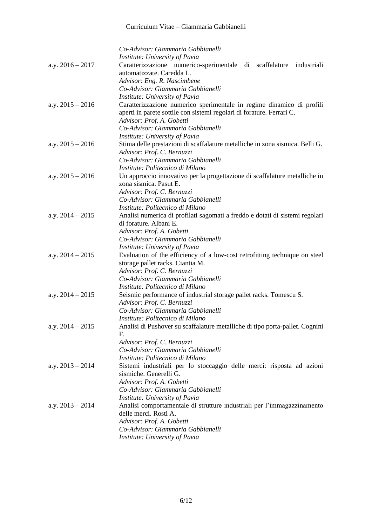|                    | Co-Advisor: Giammaria Gabbianelli                                            |
|--------------------|------------------------------------------------------------------------------|
|                    | Institute: University of Pavia                                               |
| a.y. $2016 - 2017$ | Caratterizzazione numerico-sperimentale di scaffalature industriali          |
|                    | automatizzate. Caredda L.                                                    |
|                    | Advisor: Eng. R. Nascimbene                                                  |
|                    | Co-Advisor: Giammaria Gabbianelli                                            |
|                    | Institute: University of Pavia                                               |
| a.y. $2015 - 2016$ | Caratterizzazione numerico sperimentale in regime dinamico di profili        |
|                    | aperti in parete sottile con sistemi regolari di forature. Ferrari C.        |
|                    | Advisor: Prof. A. Gobetti                                                    |
|                    | Co-Advisor: Giammaria Gabbianelli                                            |
|                    | Institute: University of Pavia                                               |
| a.y. $2015 - 2016$ | Stima delle prestazioni di scaffalature metalliche in zona sismica. Belli G. |
|                    | Advisor: Prof. C. Bernuzzi                                                   |
|                    | Co-Advisor: Giammaria Gabbianelli                                            |
|                    | Institute: Politecnico di Milano                                             |
| a.y. $2015 - 2016$ | Un approccio innovativo per la progettazione di scaffalature metalliche in   |
|                    | zona sismica. Pasut E.                                                       |
|                    | Advisor: Prof. C. Bernuzzi                                                   |
|                    | Co-Advisor: Giammaria Gabbianelli                                            |
|                    | Institute: Politecnico di Milano                                             |
| a.y. $2014 - 2015$ | Analisi numerica di profilati sagomati a freddo e dotati di sistemi regolari |
|                    | di forature. Albani E.                                                       |
|                    | Advisor: Prof. A. Gobetti                                                    |
|                    | Co-Advisor: Giammaria Gabbianelli                                            |
|                    | Institute: University of Pavia                                               |
| a.y. $2014 - 2015$ | Evaluation of the efficiency of a low-cost retrofitting technique on steel   |
|                    | storage pallet racks. Ciantia M.                                             |
|                    | Advisor: Prof. C. Bernuzzi                                                   |
|                    | Co-Advisor: Giammaria Gabbianelli                                            |
|                    | Institute: Politecnico di Milano                                             |
| a.y. $2014 - 2015$ | Seismic performance of industrial storage pallet racks. Tomescu S.           |
|                    | Advisor: Prof. C. Bernuzzi                                                   |
|                    | Co-Advisor: Giammaria Gabbianelli                                            |
|                    | Institute: Politecnico di Milano                                             |
| a.y. $2014 - 2015$ | Analisi di Pushover su scaffalature metalliche di tipo porta-pallet. Cognini |
|                    | F.                                                                           |
|                    | Advisor: Prof. C. Bernuzzi<br>Co-Advisor: Giammaria Gabbianelli              |
|                    | Institute: Politecnico di Milano                                             |
| a.y. $2013 - 2014$ | Sistemi industriali per lo stoccaggio delle merci: risposta ad azioni        |
|                    | sismiche. Generelli G.                                                       |
|                    | Advisor: Prof. A. Gobetti                                                    |
|                    | Co-Advisor: Giammaria Gabbianelli                                            |
|                    | Institute: University of Pavia                                               |
| a.y. $2013 - 2014$ | Analisi comportamentale di strutture industriali per l'immagazzinamento      |
|                    | delle merci. Rosti A.                                                        |
|                    | Advisor: Prof. A. Gobetti                                                    |
|                    | Co-Advisor: Giammaria Gabbianelli                                            |
|                    | Institute: University of Pavia                                               |
|                    |                                                                              |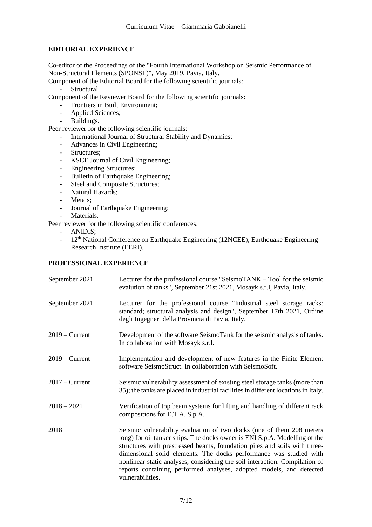# **EDITORIAL EXPERIENCE**

Co-editor of the Proceedings of the "Fourth International Workshop on Seismic Performance of Non-Structural Elements (SPONSE)", May 2019, Pavia, Italy.

Component of the Editorial Board for the following scientific journals:

- Structural.

Component of the Reviewer Board for the following scientific journals:

- Frontiers in Built Environment;
- Applied Sciences;
- Buildings.

Peer reviewer for the following scientific journals:

- International Journal of Structural Stability and Dynamics;
- Advances in Civil Engineering;
- Structures;
- KSCE Journal of Civil Engineering;
- Engineering Structures;
- Bulletin of Earthquake Engineering;
- Steel and Composite Structures;
- Natural Hazards;
- Metals:
- Journal of Earthquake Engineering;
- Materials.

Peer reviewer for the following scientific conferences:

- ANIDIS;
- 12<sup>th</sup> National Conference on Earthquake Engineering (12NCEE), Earthquake Engineering Research Institute (EERI).

### **PROFESSIONAL EXPERIENCE**

| September 2021   | Lecturer for the professional course "SeismoTANK – Tool for the seismic<br>evalution of tanks", September 21st 2021, Mosayk s.r.l, Pavia, Italy.                                                                                                                                                                                                                                                                                                                                 |
|------------------|----------------------------------------------------------------------------------------------------------------------------------------------------------------------------------------------------------------------------------------------------------------------------------------------------------------------------------------------------------------------------------------------------------------------------------------------------------------------------------|
| September 2021   | Lecturer for the professional course "Industrial steel storage racks:<br>standard; structural analysis and design", September 17th 2021, Ordine<br>degli Ingegneri della Provincia di Pavia, Italy.                                                                                                                                                                                                                                                                              |
| $2019$ – Current | Development of the software SeismoTank for the seismic analysis of tanks.<br>In collaboration with Mosayk s.r.l.                                                                                                                                                                                                                                                                                                                                                                 |
| $2019 -$ Current | Implementation and development of new features in the Finite Element<br>software SeismoStruct. In collaboration with SeismoSoft.                                                                                                                                                                                                                                                                                                                                                 |
| $2017 -$ Current | Seismic vulnerability assessment of existing steel storage tanks (more than<br>35); the tanks are placed in industrial facilities in different locations in Italy.                                                                                                                                                                                                                                                                                                               |
| $2018 - 2021$    | Verification of top beam systems for lifting and handling of different rack<br>compositions for E.T.A. S.p.A.                                                                                                                                                                                                                                                                                                                                                                    |
| 2018             | Seismic vulnerability evaluation of two docks (one of them 208 meters<br>long) for oil tanker ships. The docks owner is ENI S.p.A. Modelling of the<br>structures with prestressed beams, foundation piles and soils with three-<br>dimensional solid elements. The docks performance was studied with<br>nonlinear static analyses, considering the soil interaction. Compilation of<br>reports containing performed analyses, adopted models, and detected<br>vulnerabilities. |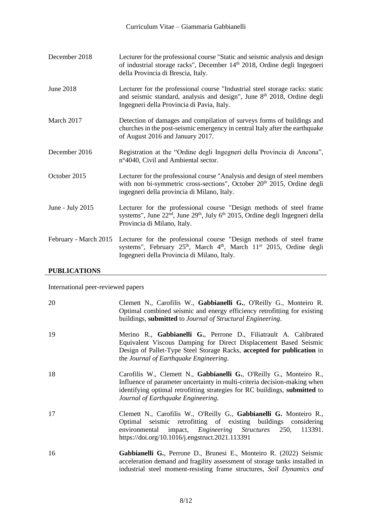| December 2018         | Lecturer for the professional course "Static and seismic analysis and design<br>of industrial storage racks", December 14 <sup>th</sup> 2018, Ordine degli Ingegneri<br>della Provincia di Brescia, Italy.                    |
|-----------------------|-------------------------------------------------------------------------------------------------------------------------------------------------------------------------------------------------------------------------------|
| June 2018             | Lecturer for the professional course "Industrial steel storage racks: static<br>and seismic standard, analysis and design", June 8 <sup>th</sup> 2018, Ordine degli<br>Ingegneri della Provincia di Pavia, Italy.             |
| March 2017            | Detection of damages and compilation of surveys forms of buildings and<br>churches in the post-seismic emergency in central Italy after the earthquake<br>of August 2016 and January 2017.                                    |
| December 2016         | Registration at the "Ordine degli Ingegneri della Provincia di Ancona",<br>n°4040, Civil and Ambiental sector.                                                                                                                |
| October 2015          | Lecturer for the professional course "Analysis and design of steel members<br>with non bi-symmetric cross-sections", October 20 <sup>th</sup> 2015, Ordine degli<br>ingegneri della provincia di Milano, Italy.               |
| June - July $2015$    | Lecturer for the professional course "Design methods of steel frame"<br>systems", June 22 <sup>nd</sup> , June 29 <sup>th</sup> , July 6 <sup>th</sup> 2015, Ordine degli Ingegneri della<br>Provincia di Milano, Italy.      |
| February - March 2015 | Lecturer for the professional course "Design methods of steel frame<br>systems", February 25 <sup>th</sup> , March 4 <sup>th</sup> , March 11 <sup>st</sup> 2015, Ordine degli<br>Ingegneri della Provincia di Milano, Italy. |

# **PUBLICATIONS**

International peer-reviewed papers

| 20 | Clemett N., Carofilis W., Gabbianelli G., O'Reilly G., Monteiro R.<br>Optimal combined seismic and energy efficiency retrofitting for existing<br>buildings, submitted to Journal of Structural Engineering.                                                         |
|----|----------------------------------------------------------------------------------------------------------------------------------------------------------------------------------------------------------------------------------------------------------------------|
| 19 | Merino R., Gabbianelli G., Perrone D., Filiatrault A. Calibrated<br>Equivalent Viscous Damping for Direct Displacement Based Seismic<br>Design of Pallet-Type Steel Storage Racks, accepted for publication in<br>the Journal of Earthquake Engineering.             |
| 18 | Carofilis W., Clemett N., Gabbianelli G., O'Reilly G., Monteiro R.,<br>Influence of parameter uncertainty in multi-criteria decision-making when<br>identifying optimal retrofitting strategies for RC buildings, submitted to<br>Journal of Earthquake Engineering. |
| 17 | Clemett N., Carofilis W., O'Reilly G., Gabbianelli G. Monteiro R.,<br>Optimal seismic retrofitting of existing buildings considering<br>environmental impact, <i>Engineering Structures</i> 250, 113391.<br>https://doi.org/10.1016/j.engstruct.2021.113391          |
| 16 | Gabbianelli G., Perrone D., Brunesi E., Monteiro R. (2022) Seismic<br>acceleration demand and fragility assessment of storage tanks installed in<br>industrial steel moment-resisting frame structures, Soil Dynamics and                                            |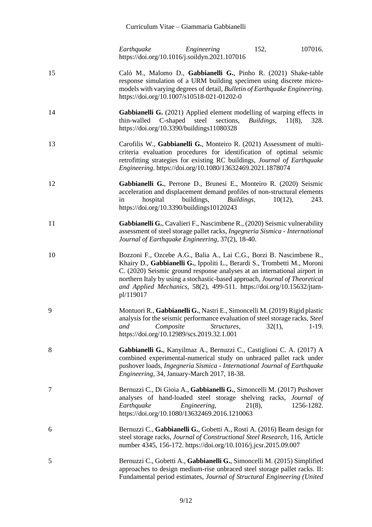*Earthquake Engineering* 152, 107016. https://doi.org/10.1016/j.soildyn.2021.107016

- 15 Calò M., Malomo D., **Gabbianelli G.**, Pinho R. (2021) Shake-table response simulation of a URM building specimen using discrete micromodels with varying degrees of detail, *Bulletin of Earthquake Engineering*. <https://doi.org/10.1007/s10518-021-01202-0>
- 14 **Gabbianelli G.** (2021) Applied element modelling of warping effects in thin-walled C-shaped steel sections, *Buildings*, 11(8), 328. https://doi.org/10.3390/buildings11080328
- 13 Carofilis W., **Gabbianelli G.**, Monteiro R. (2021) Assessment of multicriteria evaluation procedures for identification of optimal seismic retrofitting strategies for existing RC buildings, *Journal of Earthquake Engineering*. https://doi.org/10.1080/13632469.2021.1878074
- 12 **Gabbianelli G.**, Perrone D., Brunesi E., Monteiro R. (2020) Seismic acceleration and displacement demand profiles of non-structural elements in hospital buildings, *Buildings*, 10(12), 243. https://doi.org/10.3390/buildings10120243
- 11 **Gabbianelli G.**, Cavalieri F., Nascimbene R., (2020) Seismic vulnerability assessment of steel storage pallet racks, *Ingegneria Sismica - International Journal of Earthquake Engineering*, 37(2), 18-40.
- 10 Bozzoni F., Ozcebe A.G., Balia A., Lai C.G., Borzi B. Nascimbene R., Khairy D., **Gabbianelli G.**, Ippoliti L., Berardi S., Trombetti M., Moroni C. (2020) Seismic ground response analyses at an international airport in northern Italy by using a stochastic-based approach, *Journal of Theoretical and Applied Mechanics*, 58(2), 499-511. https://doi.org/10.15632/jtampl/119017
- 9 Montuori R., **Gabbianelli G.**, Nastri E., Simoncelli M. (2019) Rigid plastic analysis for the seismic performance evaluation of steel storage racks, *Steel and Composite Structures*, 32(1), 1-19. https://doi.org/10.12989/scs.2019.32.1.001
- 8 **Gabbianelli G.**, Kanyilmaz A., Bernuzzi C., Castiglioni C. A. (2017) A combined experimental-numerical study on unbraced pallet rack under pushover loads, *Ingegneria Sismica - International Journal of Earthquake Engineering*, 34, January-March 2017, 18-38.
- 7 Bernuzzi C., Di Gioia A., **Gabbianelli G.**, Simoncelli M. (2017) Pushover analyses of hand-loaded steel storage shelving racks, *Journal of Earthquake Engineering*, 21(8), 1256-1282. https://doi.org/10.1080/13632469.2016.1210063
- 6 Bernuzzi C., **Gabbianelli G.**, Gobetti A., Rosti A. (2016) Beam design for steel storage racks, *Journal of Constructional Steel Research*, 116, Article number 4345, 156-172. https://doi.org/10.1016/j.jcsr.2015.09.007
- 5 Bernuzzi C., Gobetti A., **Gabbianelli G.**, Simoncelli M. (2015) Simplified approaches to design medium-rise unbraced steel storage pallet racks. II: Fundamental period estimates, *Journal of Structural Engineering (United*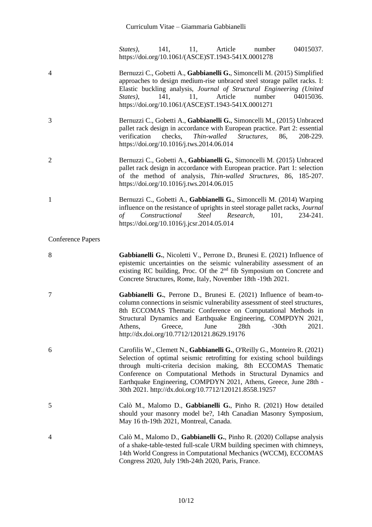*States*), 141, 11, Article number 04015037. https://doi.org/10.1061/(ASCE)ST.1943-541X.0001278

| $\overline{4}$           | Bernuzzi C., Gobetti A., Gabbianelli G., Simoncelli M. (2015) Simplified<br>approaches to design medium-rise unbraced steel storage pallet racks. I:<br>Elastic buckling analysis, Journal of Structural Engineering (United<br>Article<br>number<br>141,<br>11,<br>04015036.<br>States),<br>https://doi.org/10.1061/(ASCE)ST.1943-541X.0001271                                                                       |
|--------------------------|-----------------------------------------------------------------------------------------------------------------------------------------------------------------------------------------------------------------------------------------------------------------------------------------------------------------------------------------------------------------------------------------------------------------------|
| 3                        | Bernuzzi C., Gobetti A., Gabbianelli G., Simoncelli M., (2015) Unbraced<br>pallet rack design in accordance with European practice. Part 2: essential<br>checks,<br>Thin-walled<br>Structures,<br>verification<br>86,<br>208-229.<br>https://doi.org/10.1016/j.tws.2014.06.014                                                                                                                                        |
| $\overline{2}$           | Bernuzzi C., Gobetti A., Gabbianelli G., Simoncelli M. (2015) Unbraced<br>pallet rack design in accordance with European practice. Part 1: selection<br>of the method of analysis, Thin-walled Structures, 86, 185-207.<br>https://doi.org/10.1016/j.tws.2014.06.015                                                                                                                                                  |
| $\mathbf{1}$             | Bernuzzi C., Gobetti A., Gabbianelli G., Simoncelli M. (2014) Warping<br>influence on the resistance of uprights in steel storage pallet racks, Journal<br>Constructional<br>Steel Research,<br>101,<br>of<br>234-241.<br>https://doi.org/10.1016/j.jcsr.2014.05.014                                                                                                                                                  |
| <b>Conference Papers</b> |                                                                                                                                                                                                                                                                                                                                                                                                                       |
| 8                        | Gabbianelli G., Nicoletti V., Perrone D., Brunesi E. (2021) Influence of<br>epistemic uncertainties on the seismic vulnerability assessment of an<br>existing RC building, Proc. Of the 2 <sup>nd</sup> fib Symposium on Concrete and<br>Concrete Structures, Rome, Italy, November 18th -19th 2021.                                                                                                                  |
| 7                        | Gabbianelli G., Perrone D., Brunesi E. (2021) Influence of beam-to-<br>column connections in seismic vulnerability assessment of steel structures,<br>8th ECCOMAS Thematic Conference on Computational Methods in<br>Structural Dynamics and Earthquake Engineering, COMPDYN 2021,<br>$-30th$<br>2021.<br>Athens,<br>June<br>28th<br>Greece,<br>http://dx.doi.org/10.7712/120121.8629.19176                           |
| 6                        | Carofilis W., Clemett N., Gabbianelli G., O'Reilly G., Monteiro R. (2021)<br>Selection of optimal seismic retrofitting for existing school buildings<br>through multi-criteria decision making, 8th ECCOMAS Thematic<br>Conference on Computational Methods in Structural Dynamics and<br>Earthquake Engineering, COMPDYN 2021, Athens, Greece, June 28th -<br>30th 2021. http://dx.doi.org/10.7712/120121.8558.19257 |
| 5                        | Calò M., Malomo D., Gabbianelli G., Pinho R. (2021) How detailed<br>should your masonry model be?, 14th Canadian Masonry Symposium,<br>May 16 th-19th 2021, Montreal, Canada.                                                                                                                                                                                                                                         |
| $\overline{4}$           | Calò M., Malomo D., Gabbianelli G., Pinho R. (2020) Collapse analysis<br>of a shake-table-tested full-scale URM building specimen with chimneys,<br>14th World Congress in Computational Mechanics (WCCM), ECCOMAS<br>Congress 2020, July 19th-24th 2020, Paris, France.                                                                                                                                              |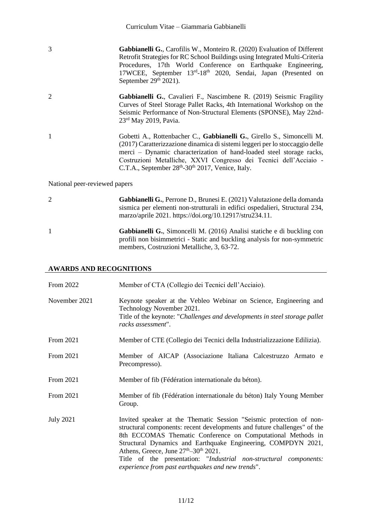3 **Gabbianelli G.**, Carofilis W., Monteiro R. (2020) Evaluation of Different Retrofit Strategies for RC School Buildings using Integrated Multi-Criteria Procedures, 17th World Conference on Earthquake Engineering, 17WCEE, September 13rd-18<sup>th</sup> 2020, Sendai, Japan (Presented on September  $29<sup>th</sup> 2021$ ).

- 2 **Gabbianelli G.**, Cavalieri F., Nascimbene R. (2019) Seismic Fragility Curves of Steel Storage Pallet Racks, 4th International Workshop on the Seismic Performance of Non-Structural Elements (SPONSE), May 22nd-23rd May 2019, Pavia.
- 1 Gobetti A., Rottenbacher C., **Gabbianelli G.**, Girello S., Simoncelli M. (2017) Caratterizzazione dinamica di sistemi leggeri per lo stoccaggio delle merci – Dynamic characterization of hand-loaded steel storage racks, Costruzioni Metalliche, XXVI Congresso dei Tecnici dell'Acciaio - C.T.A., September 28<sup>th</sup>-30<sup>th</sup> 2017, Venice, Italy.

#### National peer-reviewed papers

| 2            | <b>Gabbianelli G.</b> , Perrone D., Brunesi E. (2021) Valutazione della domanda<br>sismica per elementi non-strutturali in edifici ospedalieri, Structural 234,<br>marzo/aprile 2021. https://doi.org/10.12917/stru234.11. |
|--------------|----------------------------------------------------------------------------------------------------------------------------------------------------------------------------------------------------------------------------|
| $\mathbf{1}$ | Gabbianelli G., Simoncelli M. (2016) Analisi statiche e di buckling con<br>profili non bisimmetrici - Static and buckling analysis for non-symmetric<br>members, Costruzioni Metalliche, 3, 63-72.                         |

# **AWARDS AND RECOGNITIONS**

| From 2022        | Member of CTA (Collegio dei Tecnici dell'Acciaio).                                                                                                                                                                                                                                                                                                                                                                                                                         |
|------------------|----------------------------------------------------------------------------------------------------------------------------------------------------------------------------------------------------------------------------------------------------------------------------------------------------------------------------------------------------------------------------------------------------------------------------------------------------------------------------|
| November 2021    | Keynote speaker at the Vebleo Webinar on Science, Engineering and<br>Technology November 2021.<br>Title of the keynote: "Challenges and developments in steel storage pallet<br>racks assessment".                                                                                                                                                                                                                                                                         |
| From 2021        | Member of CTE (Collegio dei Tecnici della Industrializzazione Edilizia).                                                                                                                                                                                                                                                                                                                                                                                                   |
| From 2021        | Member of AICAP (Associazione Italiana Calcestruzzo Armato e<br>Precompresso).                                                                                                                                                                                                                                                                                                                                                                                             |
| From 2021        | Member of fib (Fédération internationale du béton).                                                                                                                                                                                                                                                                                                                                                                                                                        |
| From 2021        | Member of fib (Fédération internationale du béton) Italy Young Member<br>Group.                                                                                                                                                                                                                                                                                                                                                                                            |
| <b>July 2021</b> | Invited speaker at the Thematic Session "Seismic protection of non-<br>structural components: recent developments and future challenges" of the<br>8th ECCOMAS Thematic Conference on Computational Methods in<br>Structural Dynamics and Earthquake Engineering, COMPDYN 2021,<br>Athens, Greece, June 27 <sup>th</sup> –30 <sup>th</sup> 2021.<br>Title of the presentation: "Industrial non-structural components:<br>experience from past earthquakes and new trends". |